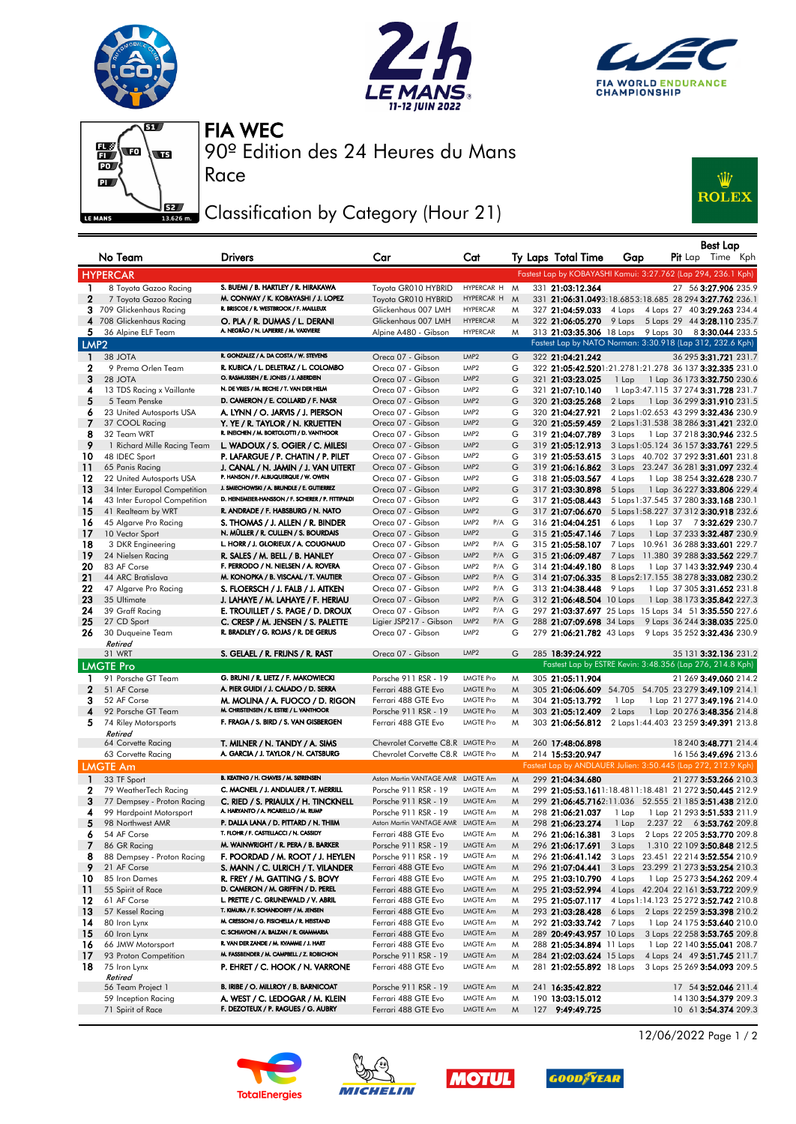







Race

90º Edition des 24 Heures du Mans FIA WEC

## Classification by Category (Hour 21)



|                   | No Team                               | <b>Drivers</b>                                                                       | Car                                         | Cat                                  |        | Ty Laps Total Time                   | Gap             | <b>Best Lap</b><br><b>Pit</b> Lap Time Kph                                         |
|-------------------|---------------------------------------|--------------------------------------------------------------------------------------|---------------------------------------------|--------------------------------------|--------|--------------------------------------|-----------------|------------------------------------------------------------------------------------|
|                   | <b>HYPERCAR</b>                       |                                                                                      |                                             |                                      |        |                                      |                 | Fastest Lap by KOBAYASHI Kamui: 3:27.762 (Lap 294, 236.1 Kph)                      |
| 1.                | 8 Toyota Gazoo Racing                 | S. BUEMI / B. HARTLEY / R. HIRAKAWA                                                  | Toyota GR010 HYBRID                         | HYPERCAR H                           | M      | 331 21:03:12.364                     |                 | 27 56 3:27.906 235.9                                                               |
| $\mathbf{2}$      | 7 Toyota Gazoo Racing                 | M. CONWAY / K. KOBAYASHI / J. LOPEZ                                                  | Toyota GR010 HYBRID                         | HYPERCAR H                           | M      |                                      |                 | 331 21:06:31.0493:18.6853:18.685 28 294 3:27.762 236.1                             |
|                   | 3 709 Glickenhaus Racing              | R. BRISCOE / R. WESTBROOK / F. MAILLEUX                                              | Glickenhaus 007 LMH                         | <b>HYPERCAR</b>                      | M      | 327 21:04:59.033                     |                 | 4 Laps 4 Laps 27 40 3:29.263 234.4                                                 |
|                   | 4 708 Glickenhaus Racing              | O. PLA / R. DUMAS / L. DERANI                                                        | Glickenhaus 007 LMH                         | <b>HYPERCAR</b>                      | M      | 322 21:06:05.270                     |                 | 9 Laps 5 Laps 29 44 3:28.110 235.7                                                 |
| 5.                | 36 Alpine ELF Team                    | A. NEGRÃO / N. LAPIERRE / M. VAXIVIERE                                               | Alpine A480 - Gibson                        | <b>HYPERCAR</b>                      | M      |                                      |                 | 313 21:03:35.306 18 Laps 9 Laps 30 8 3:30.044 233.5                                |
| LMP <sub>2</sub>  |                                       |                                                                                      |                                             |                                      |        |                                      |                 | Fastest Lap by NATO Norman: 3:30.918 (Lap 312, 232.6 Kph)                          |
| $\mathbf{1}$      | 38 JOTA                               | R. GONZALEZ / A. DA COSTA / W. STEVENS                                               | Oreca 07 - Gibson                           | LMP2                                 | G      | 322 21:04:21.242                     |                 | 36 295 3:31.721 231.7                                                              |
| 2                 | 9 Prema Orlen Team                    | R. KUBICA / L. DELETRAZ / L. COLOMBO                                                 | Oreca 07 - Gibson                           | LMP2                                 | G      |                                      |                 | 322 21:05:42.5201:21.2781:21.278 36 137 3:32.335 231.0                             |
| 3                 | 28 JOTA                               | O. RASMUSSEN / E. JONES / J. ABERDEIN                                                | Oreca 07 - Gibson                           | LMP <sub>2</sub>                     | G      | 321 21:03:23.025                     | 1 Lap           | 1 Lap 36 173 3:32.750 230.6                                                        |
| 4                 | 13 TDS Racing x Vaillante             | N. DE VRIES / M. BECHE / T. VAN DER HELM                                             | Oreca 07 - Gibson                           | LMP2                                 | G      | 321 21:07:10.140                     |                 | 1 Lap 3:47.115 37 274 3:31.728 231.7                                               |
| 5                 | 5 Team Penske                         | D. CAMERON / E. COLLARD / F. NASR                                                    | Oreca 07 - Gibson                           | LMP2                                 | G      | 320 21:03:25.268                     |                 | 2 Laps 1 Lap 36 299 3:31.910 231.5                                                 |
| 6                 | 23 United Autosports USA              | A. LYNN / O. JARVIS / J. PIERSON                                                     | Oreca 07 - Gibson                           | LMP <sub>2</sub>                     | G      | 320 21:04:27.921                     |                 | 2 Laps 1:02.653 43 299 3:32.436 230.9                                              |
| - 7               | 37 COOL Racing                        | Y. YE / R. TAYLOR / N. KRUETTEN<br>R. INEICHEN / M. BORTOLOTTI / D. VANTHOOR         | Oreca 07 - Gibson                           | LMP2                                 | G      | 320 21:05:59.459                     |                 | 2 Laps 1:31.538 38 286 3:31.421 232.0                                              |
| 8                 | 32 Team WRT                           |                                                                                      | Oreca 07 - Gibson                           | LMP <sub>2</sub>                     | G      | 319 21:04:07.789                     | 3 Laps          | 1 Lap 37 218 3:30.946 232.5                                                        |
| 9                 | 1 Richard Mille Racing Team           | L. WADOUX / S. OGIER / C. MILESI                                                     | Oreca 07 - Gibson                           | LMP2                                 | G      | 319 21:05:12.913                     |                 | 3 Laps 1:05.124 36 157 3:33.761 229.5                                              |
| 10<br>11          | 48 IDEC Sport<br>65 Panis Racing      | P. LAFARGUE / P. CHATIN / P. PILET<br>J. CANAL / N. JAMIN / J. VAN UITERT            | Oreca 07 - Gibson<br>Oreca 07 - Gibson      | LMP <sub>2</sub><br>LMP <sub>2</sub> | G<br>G | 319 21:05:53.615<br>319 21:06:16.862 |                 | 3 Laps 40.702 37 292 3:31.601 231.8<br>3 Laps 23.247 36 281 3:31.097 232.4         |
| 12                | 22 United Autosports USA              | P. HANSON / F. ALBUQUERQUE / W. OWEN                                                 | Oreca 07 - Gibson                           | LMP2                                 | G      | 318 21:05:03.567                     | 4 Laps          | 1 Lap 38 254 3:32.628 230.7                                                        |
| 13                | 34 Inter Europol Competition          | J. SMIECHOWSKI / A. BRUNDLE / E. GUTIERREZ                                           | Oreca 07 - Gibson                           | LMP <sub>2</sub>                     | G      | 317 21:03:30.898                     | 5 Laps          | 1 Lap 36 227 3:33.806 229.4                                                        |
| 14                | 43 Inter Europol Competition          | D. HEINEMEIER-HANSSON / F. SCHERER / P. FITTIPALDI                                   | Oreca 07 - Gibson                           | LMP <sub>2</sub>                     | G      | 317 21:05:08.443                     |                 | 5 Laps 1:37.545 37 280 3:33.168 230.1                                              |
| 15                | 41 Realteam by WRT                    | R. ANDRADE / F. HABSBURG / N. NATO                                                   | Oreca 07 - Gibson                           | LMP <sub>2</sub>                     | G      | 317 21:07:06.670                     |                 | 5 Laps 1:58.227 37 312 3:30.918 232.6                                              |
| 16                | 45 Algarve Pro Racing                 | S. THOMAS / J. ALLEN / R. BINDER                                                     | Oreca 07 - Gibson                           | $P/A$ G<br>LMP2                      |        | 316 21:04:04.251                     | 6 Laps          | 1 Lap 37 73:32.629 230.7                                                           |
| -17               | 10 Vector Sport                       | N. MÜLLER / R. CULLEN / S. BOURDAIS                                                  | Oreca 07 - Gibson                           | LMP <sub>2</sub>                     | G      | 315 21:05:47.146                     | 7 Laps          | 1 Lap 37 233 3:32.487 230.9                                                        |
| 18                | 3 DKR Engineering                     | L. HORR / J. GLORIEUX / A. COUGNAUD                                                  | Oreca 07 - Gibson                           | LMP <sub>2</sub><br>$P/A$ G          |        | 315 21:05:58.107                     |                 | 7 Laps 10.961 36 288 3:33.601 229.7                                                |
| 19                | 24 Nielsen Racing                     | R. SALES / M. BELL / B. HANLEY                                                       | Oreca 07 - Gibson                           | LMP <sub>2</sub><br>$P/A$ G          |        | 315 21:06:09.487                     |                 | 7 Laps 11.380 39 288 3:33.562 229.7                                                |
| 20                | 83 AF Corse                           | F. PERRODO / N. NIELSEN / A. ROVERA                                                  | Oreca 07 - Gibson                           | LMP2<br>$P/A$ G                      |        | 314 21:04:49.180                     | 8 Laps          | 1 Lap 37 143 3:32.949 230.4                                                        |
| 21                | 44 ARC Bratislava                     | M. KONOPKA / B. VISCAAL / T. VAUTIER                                                 | Oreca 07 - Gibson                           | LMP <sub>2</sub><br>$P/A$ G          |        | 314 21:07:06.335                     |                 | 8 Laps 2:17.155 38 278 3:33.082 230.2                                              |
| 22                | 47 Algarve Pro Racing                 | S. FLOERSCH / J. FALB / J. AITKEN                                                    | Oreca 07 - Gibson                           | LMP <sub>2</sub><br>$P/A$ G          |        | 313 21:04:38.448                     | 9 Laps          | 1 Lap 37 305 3:31.652 231.8                                                        |
| 23                | 35 Ultimate                           | J. LAHAYE / M. LAHAYE / F. HERIAU                                                    | Oreca 07 - Gibson                           | LMP <sub>2</sub><br>$P/A$ $G$        |        | 312 21:06:48.504 10 Laps             |                 | 1 Lap 38 173 3:35.842 227.3                                                        |
| 24                | 39 Graff Racing                       | E. TROUILLET / S. PAGE / D. DROUX                                                    | Oreca 07 - Gibson                           | $P/A$ G<br>LMP <sub>2</sub>          |        |                                      |                 | 297 21:03:37.697 25 Laps 15 Laps 34 51 3:35.550 227.6                              |
| 25                | 27 CD Sport                           | C. CRESP / M. JENSEN / S. PALETTE                                                    | Ligier JSP217 - Gibson                      | LMP <sub>2</sub><br>$P/A$ $G$        |        |                                      |                 | 288 21:07:09.698 34 Laps 9 Laps 36 244 3:38.035 225.0                              |
| 26                | 30 Duqueine Team                      | R. BRADLEY / G. ROJAS / R. DE GERUS                                                  | Oreca 07 - Gibson                           | LMP <sub>2</sub>                     | G      |                                      |                 | 279 21:06:21.782 43 Laps 9 Laps 35 252 3:32.436 230.9                              |
|                   | Retired                               |                                                                                      |                                             | LMP <sub>2</sub>                     | G      |                                      |                 |                                                                                    |
|                   | 31 WRT                                | S. GELAEL / R. FRIJNS / R. RAST                                                      | Oreca 07 - Gibson                           |                                      |        | 285 18:39:24.922                     |                 | 35 131 3:32.136 231.2<br>Fastest Lap by ESTRE Kevin: 3:48.356 (Lap 276, 214.8 Kph) |
|                   | <b>LMGTE Pro</b>                      |                                                                                      |                                             |                                      |        |                                      |                 |                                                                                    |
| $\mathbf{1}$      | 91 Porsche GT Team                    | G. BRUNI / R. LIETZ / F. MAKOWIECKI                                                  | Porsche 911 RSR - 19                        | <b>LMGTE Pro</b>                     | M      | 305 21:05:11.904                     |                 | 21 269 3:49.060 214.2                                                              |
| $\mathbf{2}$<br>з | 51 AF Corse<br>52 AF Corse            | A. PIER GUIDI / J. CALADO / D. SERRA                                                 | Ferrari 488 GTE Evo<br>Ferrari 488 GTE Evo  | <b>LMGTE Pro</b><br><b>LMGTE Pro</b> | M<br>M |                                      |                 | 305 21:06:06.609 54.705 54.705 23 279 3:49.109 214.1                               |
| $\overline{4}$    | 92 Porsche GT Team                    | M. MOLINA / A. FUOCO / D. RIGON<br>M. CHRISTENSEN / K. ESTRE / L. VANTHOOR           | Porsche 911 RSR - 19                        | <b>LMGTE Pro</b>                     | M      | 304 21:05:13.792<br>303 21:05:12.409 | 1 Lap<br>2 Laps | 1 Lap 21 277 3:49.196 214.0<br>1 Lap 20 276 3:48.356 214.8                         |
| 5                 | 74 Riley Motorsports                  | F. FRAGA / S. BIRD / S. VAN GISBERGEN                                                | Ferrari 488 GTE Evo                         | <b>LMGTE Pro</b>                     | M      | 303 21:06:56.812                     |                 | 2 Laps 1:44.403 23 259 3:49.391 213.8                                              |
|                   | Retired                               |                                                                                      |                                             |                                      |        |                                      |                 |                                                                                    |
|                   | 64 Corvette Racing                    | T. MILNER / N. TANDY / A. SIMS                                                       | Chevrolet Corvette C8.R LMGTE Pro           |                                      | M      | 260 17:48:06.898                     |                 | 18 240 3:48.771 214.4                                                              |
|                   | 63 Corvette Racing                    | A. GARCIA / J. TAYLOR / N. CATSBURG                                                  | Chevrolet Corvette C8.R LMGTE Pro           |                                      | M      | 214 15:53:20.947                     |                 | 16 156 3:49.696 213.6                                                              |
|                   | <b>LMGTE Am</b>                       |                                                                                      |                                             |                                      |        |                                      |                 | Fastest Lap by ANDLAUER Julien: 3:50.445 (Lap 272, 212.9 Kph)                      |
| -1                | 33 TF Sport                           | B. KEATING / H. CHAVES / M. SØRENSEN                                                 | Aston Martin VANTAGE AMR LMGTE Am           |                                      | M      | 299 21:04:34.680                     |                 | 21 277 3:53.266 210.3                                                              |
| 2                 | 79 WeatherTech Racing                 | C. MACNEIL / J. ANDLAUER / T. MERRILL                                                | Porsche 911 RSR - 19                        | LMGTE Am                             | M      |                                      |                 | 299 21:05:53.1611:18.4811:18.481 21 272 3:50.445 212.9                             |
| 3                 | 77 Dempsey - Proton Racing            | C. RIED / S. PRIAULX / H. TINCKNELL                                                  | Porsche 911 RSR - 19                        | LMGTE Am                             | M      |                                      |                 | 299 21:06:45.7162:11.036 52.555 21 185 3:51.438 212.0                              |
| 4                 | 99 Hardpoint Motorsport               | A. HARYANTO / A. PICARIELLO / M. RUMP                                                | Porsche 911 RSR - 19                        | LMGTE Am                             | M      | 298 21:06:21.037                     | 1 Lap           | 1 Lap 21 293 3:51.533 211.9                                                        |
| 5                 | 98 Northwest AMR                      | P. DALLA LANA / D. PITTARD / N. THIIM                                                | Aston Martin VANTAGE AMR LMGTE Am           |                                      | M      | 298 21:06:23.274                     |                 | 1 Lap 2.237 22 6 <b>3:53.762</b> 209.8                                             |
| 6                 | 54 AF Corse                           | T. FLOHR / F. CASTELLACCI / N. CASSIDY                                               | Ferrari 488 GTE Evo                         | LMGTE Am                             | M      | 296 21:06:16.381                     |                 | 3 Laps 2 Laps 22 205 3:53.770 209.8                                                |
| 7                 | 86 GR Racing                          | M. WAINWRIGHT / R. PERA / B. BARKER                                                  | Porsche 911 RSR - 19                        | LMGTE Am                             | M      | 296 21:06:17.691                     | 3 Laps          | 1.310 22 109 3:50.848 212.5                                                        |
| 8                 | 88 Dempsey - Proton Racing            | F. POORDAD / M. ROOT / J. HEYLEN                                                     | Porsche 911 RSR - 19                        | LMGTE Am                             | M      | 296 21:06:41.142                     |                 | 3 Laps 23.451 22 214 3:52.554 210.9                                                |
| 9                 | 21 AF Corse                           | S. MANN / C. ULRICH / T. VILANDER                                                    | Ferrari 488 GTE Evo                         | LMGTE Am                             | M      | 296 21:07:04.441                     |                 | 3 Laps 23.299 21 273 3:53.254 210.3                                                |
| 10                | 85 Iron Dames                         | R. FREY / M. GATTING / S. BOVY                                                       | Ferrari 488 GTE Evo                         | LMGTE Am                             | M      | 295 21:03:10.790                     | 4 Laps          | 1 Lap 25 273 3:54.262 209.4                                                        |
| $\overline{11}$   | 55 Spirit of Race                     | D. CAMERON / M. GRIFFIN / D. PEREL                                                   | Ferrari 488 GTE Evo                         | LMGTE Am                             | M      | 295 21:03:52.994                     |                 | 4 Laps 42.204 22 161 3:53.722 209.9                                                |
| 12                | 61 AF Corse                           | L. PRETTE / C. GRUNEWALD / V. ABRIL                                                  | Ferrari 488 GTE Evo                         | LMGTE Am                             | M      | 295 21:05:07.117                     |                 | 4 Laps 1:14.123 25 272 3:52.742 210.8                                              |
| 13                | 57 Kessel Racing                      | T. KIMURA / F. SCHANDORFF / M. JENSEN                                                | Ferrari 488 GTE Evo                         | LMGTE Am                             | M      | 293 21:03:28.428                     |                 | 6 Laps 2 Laps 22 259 3:53.398 210.2                                                |
| 14                | 80 Iron Lynx                          | M. CRESSONI / G. FISICHELLA / R. HEISTAND<br>C. SCHIAVONI / A. BALZAN / R. GIAMMARIA | Ferrari 488 GTE Evo                         | LMGTE Am                             | M      | 292 21:03:33.742                     | 7 Laps          | 1 Lap 24 175 3:53.640 210.0                                                        |
| -15               | 60 Iron Lynx                          | R. VAN DER ZANDE / M. KVAMME / J. HART                                               | Ferrari 488 GTE Evo                         | LMGTE Am                             | M      | 289 20:49:43.957 10 Laps             |                 | 3 Laps 22 258 3:53.765 209.8                                                       |
| 16                | 66 JMW Motorsport                     | M. FASSBENDER / M. CAMPBELL / Z. ROBICHON                                            | Ferrari 488 GTE Evo                         | LMGTE Am                             | M      | 288 21:05:34.894 11 Laps             |                 | 1 Lap 22 140 3:55.041 208.7                                                        |
| -17<br>18         | 93 Proton Competition<br>75 Iron Lynx |                                                                                      | Porsche 911 RSR - 19<br>Ferrari 488 GTE Evo | LMGTE Am<br>LMGTE Am                 | M      | 284 21:02:03.624 15 Laps             |                 | 4 Laps 24 49 3:51.745 211.7                                                        |
|                   | Retired                               | P. EHRET / C. HOOK / N. VARRONE                                                      |                                             |                                      | M      |                                      |                 | 281 21:02:55.892 18 Laps 3 Laps 25 269 3:54.093 209.5                              |
|                   | 56 Team Project 1                     | B. IRIBE / O. MILLROY / B. BARNICOAT                                                 | Porsche 911 RSR - 19                        | LMGTE Am                             | M      | 241 16:35:42.822                     |                 | 17 54 3:52.046 211.4                                                               |
|                   | 59 Inception Racing                   | A. WEST / C. LEDOGAR / M. KLEIN                                                      | Ferrari 488 GTE Evo                         | LMGTE Am                             | M      | 190 13:03:15.012                     |                 | 14 130 3:54.379 209.3                                                              |
|                   | 71 Spirit of Race                     | F. DEZOTEUX / P. RAGUES / G. AUBRY                                                   | Ferrari 488 GTE Evo                         | LMGTE Am                             | M      | 127 9:49:49.725                      |                 | 10 61 3:54.374 209.3                                                               |









12/06/2022 Page 1 / 2